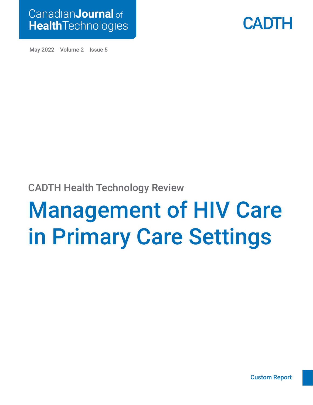



May 2022 Volume 2 Issue 5

# CADTH Health Technology Review

# Management of HIV Care in Primary Care Settings

[Custom Report](#page-3-0)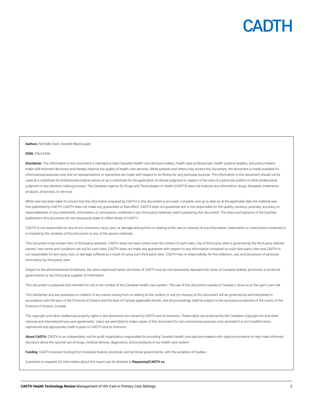

#### Authors: Michelle Clark, Danielle MacDougall

#### ISSN: 2563-6596

Disclaimer: The information in this document is intended to help Canadian health care decision-makers, health care professionals, health systems leaders, and policy-makers make well-informed decisions and thereby improve the quality of health care services. While patients and others may access this document, the document is made available for informational purposes only and no representations or warranties are made with respect to its fitness for any particular purpose. The information in this document should not be used as a substitute for professional medical advice or as a substitute for the application of clinical judgment in respect of the care of a particular patient or other professional judgment in any decision-making process. The Canadian Agency for Drugs and Technologies in Health (CADTH) does not endorse any information, drugs, therapies, treatments, products, processes, or services.

While care has been taken to ensure that the information prepared by CADTH in this document is accurate, complete, and up to date as at the applicable date the material was first published by CADTH, CADTH does not make any guarantees to that effect. CADTH does not guarantee and is not responsible for the quality, currency, propriety, accuracy, or reasonableness of any statements, information, or conclusions contained in any third-party materials used in preparing this document. The views and opinions of third parties published in this document do not necessarily state or reflect those of CADTH.

CADTH is not responsible for any errors, omissions, injury, loss, or damage arising from or relating to the use (or misuse) of any information, statements, or conclusions contained in or implied by the contents of this document or any of the source materials.

This document may contain links to third-party websites. CADTH does not have control over the content of such sites. Use of third-party sites is governed by the third-party website owners' own terms and conditions set out for such sites. CADTH does not make any guarantee with respect to any information contained on such third-party sites and CADTH is not responsible for any injury, loss, or damage suffered as a result of using such third-party sites. CADTH has no responsibility for the collection, use, and disclosure of personal information by third-party sites.

Subject to the aforementioned limitations, the views expressed herein are those of CADTH and do not necessarily represent the views of Canada's federal, provincial, or territorial governments or any third-party supplier of information.

This document is prepared and intended for use in the context of the Canadian health care system. The use of this document outside of Canada is done so at the user's own risk.

This disclaimer and any questions or matters of any nature arising from or relating to the content or use (or misuse) of this document will be governed by and interpreted in accordance with the laws of the Province of Ontario and the laws of Canada applicable therein, and all proceedings shall be subject to the exclusive jurisdiction of the courts of the Province of Ontario, Canada.

The copyright and other intellectual property rights in this document are owned by CADTH and its licensors. These rights are protected by the Canadian *Copyright Act* and other national and international laws and agreements. Users are permitted to make copies of this document for non-commercial purposes only, provided it is not modified when reproduced and appropriate credit is given to CADTH and its licensors.

About CADTH: CADTH is an independent, not-for-profit organization responsible for providing Canada's health care decision-makers with objective evidence to help make informed decisions about the optimal use of drugs, medical devices, diagnostics, and procedures in our health care system.

Funding: CADTH receives funding from Canada's federal, provincial, and territorial governments, with the exception of Quebec.

Questions or requests for information about this report can be directed to Requests@CADTH.ca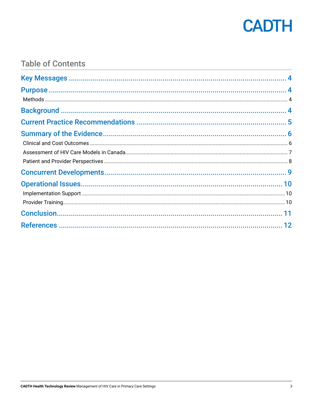

## **Table of Contents**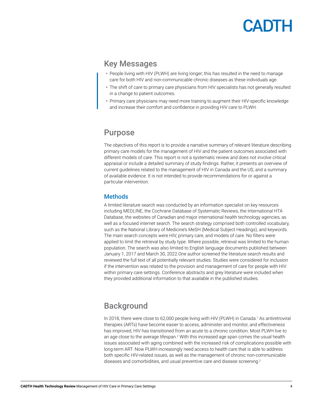### <span id="page-3-0"></span>Key Messages

- People living with HIV (PLWH) are living longer; this has resulted in the need to manage care for both HIV and non-communicable chronic diseases as these individuals age.
- The shift of care to primary care physicians from HIV specialists has not generally resulted in a change to patient outcomes.
- Primary care physicians may need more training to augment their HIV-specific knowledge and increase their comfort and confidence in providing HIV care to PLWH.

### Purpose

The objectives of this report is to provide a narrative summary of relevant literature describing primary care models for the management of HIV and the patient outcomes associated with different models of care. This report is not a systematic review and does not involve critical appraisal or include a detailed summary of study findings. Rather, it presents an overview of current guidelines related to the management of HIV in Canada and the US, and a summary of available evidence. It is not intended to provide recommendations for or against a particular intervention.

#### **Methods**

A limited literature search was conducted by an information specialist on key resources including MEDLINE, the Cochrane Database of Systematic Reviews, the International HTA Database, the websites of Canadian and major international health technology agencies, as well as a focused internet search. The search strategy comprised both controlled vocabulary, such as the National Library of Medicine's MeSH (Medical Subject Headings), and keywords. The main search concepts were HIV, primary care, and models of care. No filters were applied to limit the retrieval by study type. Where possible, retrieval was limited to the human population. The search was also limited to English language documents published between January 1, 2017 and March 30, 2022.One author screened the literature search results and reviewed the full text of all potentially relevant studies. Studies were considered for inclusion if the intervention was related to the provision and management of care for people with HIV within primary care settings. Conference abstracts and grey literature were included when they provided additional information to that available in the published studies.

### **Background**

In 2018, there were close to 62,000 people living with HIV (PLWH) in Canada.<sup>1</sup> As antiretroviral therapies (ARTs) have become easier to access, administer and monitor, and effectiveness has improved, HIV has transitioned from an acute to a chronic condition. Most PLWH live to an age close to the average lifespan.<sup>2</sup> With this increased age span comes the usual health issues associated with aging combined with the increased risk of complications possible with long-term ART. Now PLWH increasingly need access to health care that is able to address both specific HIV-related issues, as well as the management of chronic non-communicable diseases and comorbidities, and usual preventive care and disease screening.<sup>2</sup>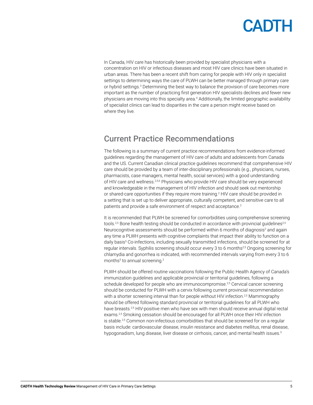<span id="page-4-0"></span>In Canada, HIV care has historically been provided by specialist physicians with a concentration on HIV or infectious diseases and most HIV care clinics have been situated in urban areas. There has been a recent shift from caring for people with HIV only in specialist settings to determining ways the care of PLWH can be better managed through primary care or hybrid settings.<sup>[3](#page-11-3)</sup> Determining the best way to balance the provision of care becomes more important as the number of practicing first generation HIV specialists declines and fewer new physicians are moving into this specialty area.<sup>[4](#page-11-4)</sup> Additionally, the limited geographic availability of specialist clinics can lead to disparities in the care a person might receive based on where they live.

### Current Practice Recommendations

The following is a summary of current practice recommendations from evidence-informed guidelines regarding the management of HIV care of adults and adolescents from Canada and the US. Current Canadian clinical practice guidelines recommend that comprehensive HIV care should be provided by a team of inter-disciplinary professionals (e.g., physicians, nurses, pharmacists, case managers, mental health, social services) with a good understanding of HIV care and wellness.<sup>[2,](#page-11-2)[5,](#page-11-5)[6](#page-11-6)</sup> Physicians who provide HIV care should be very experienced and knowledgeable in the management of HIV infection and should seek out mentorship or shared-care opportunities if they require more training.<sup>[2](#page-11-2)</sup> HIV care should be provided in a setting that is set up to deliver appropriate, culturally competent, and sensitive care to all patients and provide a safe environment of respect and acceptance.<sup>[2](#page-11-2)</sup>

It is recommended that PLWH be screened for comorbidities using comprehensive screening tools.<sup>[2](#page-11-2)5</sup> Bone health testing should be conducted in accordance with provincial guidelines<sup>25</sup> Neurocognitive assessments should be performed within 6 months of diagnosis<sup>[2](#page-11-2)</sup> and again any time a PLWH presents with cognitive complaints that impact their ability to function on a daily basis<sup>[5](#page-11-5)</sup> Co-infections, including sexually transmitted infections, should be screened for at regular intervals. Syphilis screening should occur every 3 to 6 months<sup>[2,](#page-11-2)[5](#page-11-5)</sup> Ongoing screening for chlamydia and gonorrhea is indicated, with recommended intervals varying from every 3 to 6 months<sup>[5](#page-11-5)</sup> to annual screening.<sup>2</sup>

PLWH should be offered routine vaccinations following the Public Health Agency of Canada's immunization guidelines and applicable provincial or territorial guidelines, following a schedule developed for people who are immunocompromise.<sup>[2,](#page-11-2)[5](#page-11-5)</sup> Cervical cancer screening should be conducted for PLWH with a cervix following current provincial recommendation with a shorter screening interval than for people without HIV infection.<sup>2[,5](#page-11-5)</sup> Mammography should be offered following standard provincial or territorial guidelines for all PLWH who have breasts.<sup>[2,](#page-11-2)[5](#page-11-5)</sup> HIV-positive men who have sex with men should receive annual digital rectal exams.<sup>2[,5](#page-11-5)</sup> Smoking cessation should be encouraged for all PLWH once their HIV infection is stable.<sup>2[,5](#page-11-5)</sup> Common non-infectious comorbidities that should be screened for on a regular basis include: cardiovascular disease, insulin resistance and diabetes mellitus, renal disease, hypogonadism, lung disease, liver disease or cirrhosis, cancer, and mental health issues.<sup>5</sup>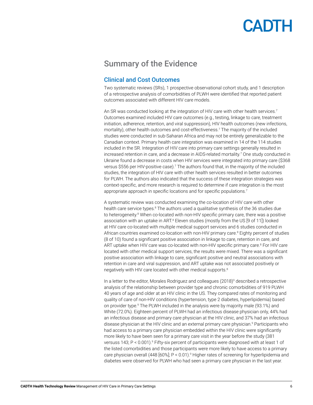### <span id="page-5-0"></span>Summary of the Evidence

#### Clinical and Cost Outcomes

Two systematic reviews (SRs), 1 prospective observational cohort study, and 1 description of a retrospective analysis of comorbidities of PLWH were identified that reported patient outcomes associated with different HIV care models.

An SR was conducted looking at the integration of HIV care with other health services.<sup>[7](#page-11-7)</sup> Outcomes examined included HIV care outcomes (e.g., testing, linkage to care, treatment initiation, adherence, retention, and viral suppression), HIV health outcomes (new infections, mortality), other health outcomes and cost-effectiveness.[7](#page-11-7) The majority of the included studies were conducted in sub-Saharan Africa and may not be entirely generalizable to the Canadian context. Primary health care integration was examined in 14 of the 114 studies included in the SR. Integration of HIV care into primary care settings generally resulted in increased retention in care, and a decrease in AIDS-related mortality[.7](#page-11-7) One study conducted in Ukraine found a decrease in costs when HIV services were integrated into primary care (\$368 versus \$556 per HIV-positive case).[7](#page-11-7) The authors found that, in the majority of the included studies, the integration of HIV care with other health services resulted in better outcomes for PLWH. The authors also indicated that the success of these integration strategies was context-specific, and more research is required to determine if care integration is the most appropriate approach in specific locations and for specific populations.<sup>[7](#page-11-7)</sup>

A systematic review was conducted examining the co-location of HIV care with other health care service types.<sup>[8](#page-11-8)</sup> The authors used a qualitative synthesis of the 36 studies due to heterogeneity.<sup>[8](#page-11-8)</sup> When co-located with non-HIV specific primary care, there was a positive association with an uptake in ART.<sup>[8](#page-11-8)</sup> Eleven studies (mostly from the US [9 of 11]) looked at HIV care co-located with multiple medical support services and 6 studies conducted in African countries examined co-location with non-HIV primary care.<sup>[8](#page-11-8)</sup> Eighty percent of studies (8 of 10) found a significant positive association in linkage to care, retention in care, and ART uptake when HIV care was co-located with non-HIV specific primary care.<sup>[8](#page-11-8)</sup> For HIV care located with other medical support services, the results were mixed. There was a significant positive association with linkage to care, significant positive and neutral associations with retention in care and viral suppression, and ART uptake was not associated positively or negatively with HIV care located with other medical supports.<sup>8</sup>

In a letter to the editor, Morales Rodriguez and colleagues (2018)<sup>[9](#page-11-9)</sup> described a retrospective analysis of the relationship between provider type and chronic comorbidities of 919 PLWH 40 years of age and older at an HIV clinic in the US. They compared rates of monitoring and quality of care of non-HIV conditions (hypertension, type 2 diabetes, hyperlipidemia) based on provider type.<sup>[9](#page-11-9)</sup> The PLWH included in the analysis were by majority male (93.1%) and White (72.0%). Eighteen percent of PLWH had an infectious disease physician only, 44% had an infectious disease and primary care physician at the HIV clinic, and 37% had an infectious disease physician at the HIV clinic and an external primary care physician.<sup>9</sup> Participants who had access to a primary care physician embedded within the HIV clinic were significantly more likely to have been seen for a primary care visit in the year before the study (381 versuss 143; P < 0.001). PFifty-six percent of participants were diagnosed with at least 1 of the listed comorbidities and those participants were more likely to have access to a primary care physician overall (448 [60%]; P < 0.01).<sup>[9](#page-11-9)</sup> Higher rates of screening for hyperlipidemia and diabetes were observed for PLWH who had seen a primary care physician in the last year.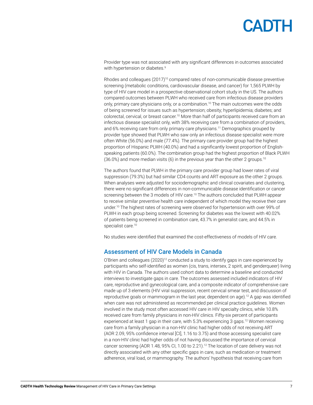<span id="page-6-0"></span>Provider type was not associated with any significant differences in outcomes associated with hypertension or diabetes.<sup>[9](#page-11-9)</sup>

Rhodes and colleagues  $(2017)^{10}$  compared rates of non-communicable disease preventive screening (metabolic conditions, cardiovascular disease, and cancer) for 1,565 PLWH by type of HIV care model in a prospective observational cohort study in the US. The authors compared outcomes between PLWH who received care from infectious disease providers only, primary care physicians only, or a combination.<sup>10</sup> The main outcomes were the odds of being screened for issues such as hypertension; obesity; hyperlipidemia; diabetes; and colorectal, cervical, or breast cancer.[10](#page-11-10) More than half of participants received care from an infectious disease specialist only, with 38% receiving care from a combination of providers, and 6% receiving care from only primary care physicians.<sup>11</sup> Demographics grouped by provider type showed that PLWH who saw only an infectious disease specialist were more often White (56.0%) and male (77.4%). The primary care provider group had the highest proportion of Hispanic PLWH (40.0%) and had a significantly lowest proportion of Englishspeaking patients (60.0%). The combination group had the highest proportion of Black PLWH  $(36.0\%)$  and more median visits  $(6)$  in the previous year than the other 2 groups.<sup>[10](#page-11-10)</sup>

The authors found that PLWH in the primary care provider group had lower rates of viral suppression (79.3%) but had similar CD4 counts and ART exposure as the other 2 groups. When analyses were adjusted for sociodemographic and clinical covariates and clustering, there were no significant differences in non-communicable disease identification or cancer screening between the 3 models of HIV care.<sup>10</sup> The authors concluded that PLWH appear to receive similar preventive health care independent of which model they receive their care under.[10](#page-11-10) The highest rates of screening were observed for hypertension with over 99% of PLWH in each group being screened. Screening for diabetes was the lowest with 40.02% of patients being screened in combination care, 43.7% in generalist care, and 44.5% in specialist care.<sup>10</sup>

No studies were identified that examined the cost-effectiveness of models of HIV care.

#### Assessment of HIV Care Models in Canada

O'Brien and colleagues  $(2020)^{12}$  conducted a study to identify gaps in care experienced by participants who self-identified as women (cis, trans, intersex, 2 spirit, and genderqueer) living with HIV in Canada. The authors used cohort data to determine a baseline and conducted interviews to investigate gaps in care. The outcomes assessed included indicators of HIV care, reproductive and gynecological care, and a composite indicator of comprehensive care made up of 3 elements (HIV viral suppression, recent cervical smear test, and discussion of reproductive goals or mammogram in the last year, dependent on age)[.12](#page-11-12) A gap was identified when care was not administered as recommended per clinical practice guidelines. Women involved in the study most often accessed HIV care in HIV specialty clinics, while 10.8% received care from family physicians in non-HIV clinics. Fifty-six percent of participants experienced at least 1 gap in their care, with 5.3% experiencing 3 gaps.<sup>12</sup> Women receiving care from a family physician in a non-HIV clinic had higher odds of not receiving ART (AOR 2.09, 95% confidence interval [CI], 1.16 to 3.75) and those accessing specialist care in a non-HIV clinic had higher odds of not having discussed the importance of cervical cancer screening (AOR 1.48, 95% CI, 1.00 to 2.21).<sup>12</sup> The location of care delivery was not directly associated with any other specific gaps in care, such as medication or treatment adherence, viral load, or mammography. The authors' hypothesis that receiving care from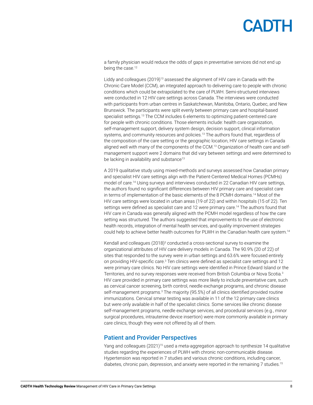<span id="page-7-0"></span>a family physician would reduce the odds of gaps in preventative services did not end up being the case.<sup>[12](#page-11-12)</sup>

Liddy and colleagues (2019[\)13](#page-11-13) assessed the alignment of HIV care in Canada with the Chronic Care Model (CCM), an integrated approach to delivering care to people with chronic conditions which could be extrapolated to the care of PLWH. Semi-structured interviews were conducted in 12 HIV care settings across Canada. The interviews were conducted with participants from urban centres in Saskatchewan, Manitoba, Ontario, Quebec, and New Brunswick. The participants were split evenly between primary care and hospital-based specialist settings.<sup>[13](#page-11-13)</sup> The CCM includes 6 elements to optimizing patient-centered care for people with chronic conditions. Those elements include: health care organization, self-management support, delivery system design, decision support, clinical information systems, and community resources and policies.<sup>13</sup> The authors found that, regardless of the composition of the care setting or the geographic location, HIV care settings in Canada aligned well with many of the components of the CCM[.13](#page-11-13) Organization of health care and selfmanagement support were 2 domains that did vary between settings and were determined to be lacking in availability and substance<sup>[13](#page-11-13)</sup>

A 2019 qualitative study using mixed-methods and surveys assessed how Canadian primary and specialist HIV care settings align with the Patient-Centered Medical Homes (PCMHs) model of care.[14](#page-11-14) Using surveys and interviews conducted in 22 Canadian HIV care settings, the authors found no significant differences between HIV primary care and specialist care in terms of implementation of the basic elements of the 8 PCMH domains[.14](#page-11-14) Most of the HIV care settings were located in urban areas (19 of 22) and within hospitals (15 of 22). Ten settings were defined as specialist care and 12 were primary care.<sup>14</sup> The authors found that HIV care in Canada was generally aligned with the PCMH model regardless of how the care setting was structured. The authors suggested that improvements to the use of electronic health records, integration of mental health services, and quality improvement strategies could help to achieve better health outcomes for PLWH in the Canadian health care system[.14](#page-11-14)

Kendall and colleagues (2018)<sup>3</sup> conducted a cross-sectional survey to examine the organizational attributes of HIV care delivery models in Canada. The 90.9% (20 of 22) of sites that responded to the survey were in urban settings and 63.6% were focused entirely on providing HIV-specific care.<sup>[3](#page-11-3)</sup> Ten clinics were defined as specialist care settings and 12 were primary care clinics. No HIV care settings were identified in Prince Edward Island or the Territories, and no survey responses were received from British Columbia or Nova Scotia.<sup>[3](#page-11-3)</sup> HIV care provided in primary care settings was more likely to include preventative care, such as cervical cancer screening, birth control, needle exchange programs, and chronic disease self-management programs.<sup>[3](#page-11-3)</sup> The majority (95.5%) of all clinics identified provided routine immunizations. Cervical smear testing was available in 11 of the 12 primary care clinics but were only available in half of the specialist clinics. Some services like chronic disease self-management programs, needle exchange services, and procedural services (e.g., minor surgical procedures, intrauterine device insertion) were more commonly available in primary care clinics, though they were not offered by all of them.

#### Patient and Provider Perspectives

Yang and colleagues (2021)<sup>[15](#page-11-15)</sup> used a meta-aggregation approach to synthesize 14 qualitative studies regarding the experiences of PLWH with chronic non-communicable disease. Hypertension was reported in 7 studies and various chronic conditions, including cancer, diabetes, chronic pain, depression, and anxiety were reported in the remaining 7 studies.<sup>[15](#page-11-15)</sup>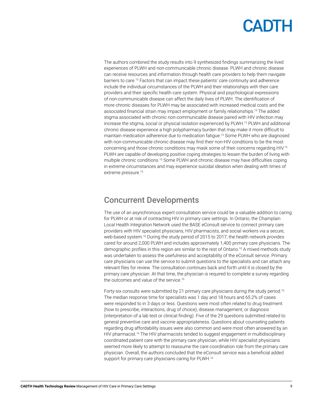<span id="page-8-0"></span>The authors combined the study results into 9 synthesized findings summarizing the lived experiences of PLWH and non-communicable chronic disease. PLWH and chronic disease can receive resources and information through health care providers to help them navigate barriers to care[.15](#page-11-15) Factors that can impact these patients' care continuity and adherence include the individual circumstances of the PLWH and their relationships with their care providers and their specific health care system. Physical and psychological expressions of non-communicable disease can affect the daily lives of PLWH. The identification of more chronic diseases for PLWH may be associated with increased medical costs and the associated financial strain may impact employment or family relationships.[15](#page-11-15) The added stigma associated with chronic non-communicable disease paired with HIV infection may increase the stigma, social or physical isolation experienced by PLWH.[15](#page-11-15) PLWH and additional chronic disease experience a high polypharmacy burden that may make it more difficult to maintain medication adherence due to medication fatigue[.15](#page-11-15) Some PLWH who are diagnosed with non-communicable chronic disease may find their non-HIV conditions to be the most concerning and those chronic conditions may mask some of their concerns regarding HIV.[15](#page-11-15) PLWH are capable of developing positive coping strategies to lessen the burden of living with multiple chronic conditions.[15](#page-11-15) Some PLWH and chronic disease may have difficulties coping in extreme circumstances and may experience suicidal ideation when dealing with times of extreme pressure[.15](#page-11-15)

### Concurrent Developments

The use of an asynchronous expert consultation service could be a valuable addition to caring for PLWH or at risk of contracting HIV in primary care settings. In Ontario, the Champlain Local Health Integration Network used the BASE eConsult service to connect primary care providers with HIV specialist physicians, HIV pharmacists, and social workers via a secure, web-based system.<sup>16</sup> During the study period of 2015 to 2017, the health network provides cared for around 2,000 PLWH and includes approximately 1,400 primary care physicians. The demographic profiles in this region are similar to the rest of Ontario.[16](#page-11-16) A mixed methods study was undertaken to assess the usefulness and acceptability of the eConsult service. Primary care physicians can use the service to submit questions to the specialists and can attach any relevant files for review. The consultation continues back and forth until it is closed by the primary care physician. At that time, the physician is required to complete a survey regarding the outcomes and value of the service.<sup>16</sup>

Forty-six consults were submitted by 21 primary care physicians during the study period[.16](#page-11-16) The median response time for specialists was 1 day and 18 hours and 65.2% of cases were responded to in 3 days or less. Questions were most often related to drug treatment (how to prescribe, interactions, drug of choice), disease management, or diagnosis (interpretation of a lab test or clinical finding). Five of the 29 questions submitted related to general preventive care and vaccine appropriateness. Questions about counseling patients regarding drug affordability issues were also common and were most often answered by an HIV pharmacist.<sup>16</sup> The HIV pharmacists tended to suggest engagement in multidisciplinary coordinated patient care with the primary care physician, while HIV specialist physicians seemed more likely to attempt to reassume the care coordination role from the primary care physician. Overall, the authors concluded that the eConsult service was a beneficial added support for primary care physicians caring for PLWH.<sup>16</sup>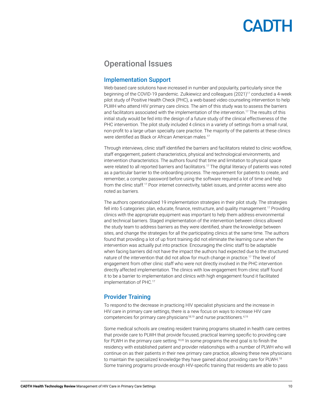### <span id="page-9-0"></span>Operational Issues

#### Implementation Support

Web-based care solutions have increased in number and popularity, particularly since the beginning of the COVID-19 pandemic. Zulkiewicz and colleagues (2021)[17](#page-11-17) conducted a 4-week pilot study of Positive Health Check (PHC), a web-based video counseling intervention to help PLWH who attend HIV primary care clinics. The aim of this study was to assess the barriers and facilitators associated with the implementation of the intervention.<sup>17</sup> The results of this initial study would be fed into the design of a future study of the clinical effectiveness of the PHC intervention. The pilot study included 4 clinics in a variety of settings from a small rural, non-profit to a large urban specialty care practice. The majority of the patients at these clinics were identified as Black or African American males.<sup>[17](#page-11-17)</sup>

Through interviews, clinic staff identified the barriers and facilitators related to clinic workflow, staff engagement, patient characteristics, physical and technological environments, and intervention characteristics. The authors found that time and limitation to physical space were related to all reported barriers and facilitators.<sup>17</sup> The digital literacy of patients was noted as a particular barrier to the onboarding process. The requirement for patients to create, and remember, a complex password before using the software required a lot of time and help from the clinic staff[.17](#page-11-17) Poor internet connectivity, tablet issues, and printer access were also noted as barriers.

The authors operationalized 19 implementation strategies in their pilot study. The strategies fell into 5 categories: plan, educate, finance, restructure, and quality management.[17](#page-11-17) Providing clinics with the appropriate equipment was important to help them address environmental and technical barriers. Staged implementation of the intervention between clinics allowed the study team to address barriers as they were identified, share the knowledge between sites, and change the strategies for all the participating clinics at the same time. The authors found that providing a lot of up front training did not eliminate the learning curve when the intervention was actually put into practice. Encouraging the clinic staff to be adaptable when facing barriers did not have the impact the authors had expected due to the structured nature of the intervention that did not allow for much change in practice[.17](#page-11-17) The level of engagement from other clinic staff who were not directly involved in the PHC intervention directly affected implementation. The clinics with low engagement from clinic staff found it to be a barrier to implementation and clinics with high engagement found it facilitated implementation of PHC.[17](#page-11-17)

#### Provider Training

To respond to the decrease in practicing HIV specialist physicians and the increase in HIV care in primary care settings, there is a new focus on ways to increase HIV care competencies for primary care physicians<sup>18,19</sup> and nurse practitioners.<sup>[4,](#page-11-4)[19](#page-11-19)</sup>

Some medical schools are creating resident training programs situated in health care centres that provide care to PLWH that provide focused, practical learning specific to providing care for PLWH in the primary care setting.<sup>[18](#page-11-18)[,20](#page-11-20)</sup> In some programs the end goal is to finish the residency with established patient and provider relationships with a number of PLWH who will continue on as their patients in their new primary care practice, allowing these new physicians to maintain the specialized knowledge they have gained about providing care for PLWH.<sup>[18](#page-11-18)</sup> Some training programs provide enough HIV-specific training that residents are able to pass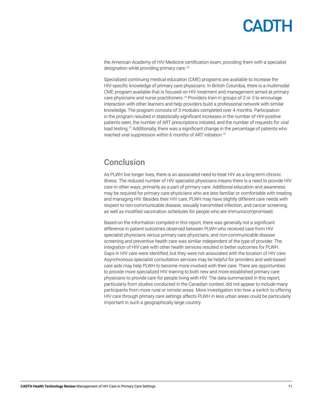<span id="page-10-0"></span>the American Academy of HIV Medicine certification exam, providing them with a specialist designation while providing primary care.<sup>18</sup>

Specialized continuing medical education (CME) programs are available to increase the HIV-specific knowledge of primary care physicians. In British Columbia, there is a multimodal CME program available that is focused on HIV treatment and management aimed at primary care physicians and nurse practitioners.<sup>[19](#page-11-19)</sup> Providers train in groups of 2 or 3 to encourage interaction with other learners and help providers build a professional network with similar knowledge. The program consists of 3 modules completed over 4 months. Participation in the program resulted in statistically significant increases in the number of HIV-positive patients seen, the number of ART prescriptions initiated, and the number of requests for viral load testing.<sup>[19](#page-11-19)</sup> Additionally, there was a significant change in the percentage of patients who reached viral suppression within 6 months of ART initiation.[19](#page-11-19)

### Conclusion

As PLWH live longer lives, there is an associated need to treat HIV as a long-term chronic illness. The reduced number of HIV specialist physicians means there is a need to provide HIV care in other ways, primarily as a part of primary care. Additional education and awareness may be required for primary care physicians who are less familiar or comfortable with treating and managing HIV. Besides their HIV care, PLWH may have slightly different care needs with respect to non-communicable disease, sexually transmitted infection, and cancer screening, as well as modified vaccination schedules for people who are immunocompromised.

Based on the information compiled in this report, there was generally not a significant difference in patient outcomes observed between PLWH who received care from HIV specialist physicians versus primary care physicians, and non-communicable disease screening and preventive health care was similar independent of the type of provider. The integration of HIV care with other health services resulted in better outcomes for PLWH. Gaps in HIV care were identified, but they were not associated with the location of HIV care. Asynchronous specialist consultation services may be helpful for providers and web-based care aids may help PLWH to become more involved with their care. There are opportunities to provide more specialized HIV training to both new and more established primary care physicians to provide care for people living with HIV. The data summarized in this report, particularly from studies conducted in the Canadian context, did not appear to include many participants from more rural or remote areas. More investigation into how a switch to offering HIV care through primary care settings affects PLWH in less urban areas could be particularly important in such a geographically large country.